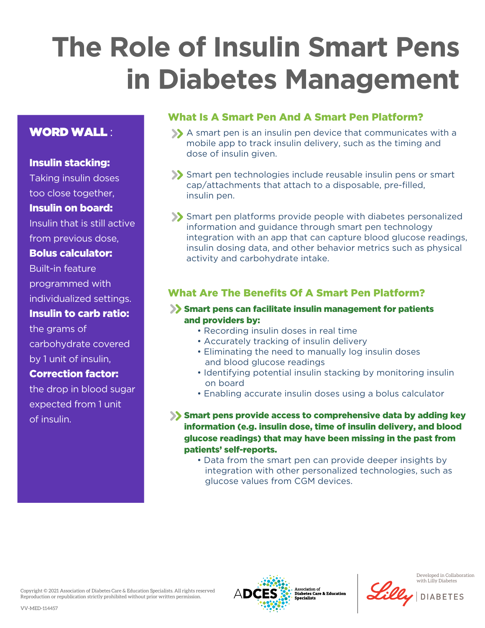# **The Role of Insulin Smart Pens in Diabetes Management**

# WORD WALL :

#### Insulin stacking:

Taking insulin doses too close together,

#### Insulin on board:

Insulin that is still active

from previous dose,

# Bolus calculator:

Built-in feature programmed with individualized settings.

### Insulin to carb ratio:

the grams of carbohydrate covered by 1 unit of insulin,

### Correction factor:

the drop in blood sugar expected from 1 unit of insulin.

# What Is A Smart Pen And A Smart Pen Platform?

- A smart pen is an insulin pen device that communicates with a mobile app to track insulin delivery, such as the timing and dose of insulin given.
- Smart pen technologies include reusable insulin pens or smart cap/attachments that attach to a disposable, pre-filled, insulin pen.
- Smart pen platforms provide people with diabetes personalized information and guidance through smart pen technology integration with an app that can capture blood glucose readings, insulin dosing data, and other behavior metrics such as physical activity and carbohydrate intake.

## What Are The Benefits Of A Smart Pen Platform?

#### Smart pens can facilitate insulin management for patients and providers by:

- Recording insulin doses in real time
- Accurately tracking of insulin delivery
- Eliminating the need to manually log insulin doses and blood glucose readings
- Identifying potential insulin stacking by monitoring insulin on board
- Enabling accurate insulin doses using a bolus calculator
- Smart pens provide access to comprehensive data by adding key information (e.g. insulin dose, time of insulin delivery, and blood glucose readings) that may have been missing in the past from patients' self-reports.
	- Data from the smart pen can provide deeper insights by integration with other personalized technologies, such as glucose values from CGM devices.

Copyright © 2021 Association of Diabetes Care & Education Specialists. All rights reserved Reproduction or republication strictly prohibited without prior written permission.



Developed in Collaboration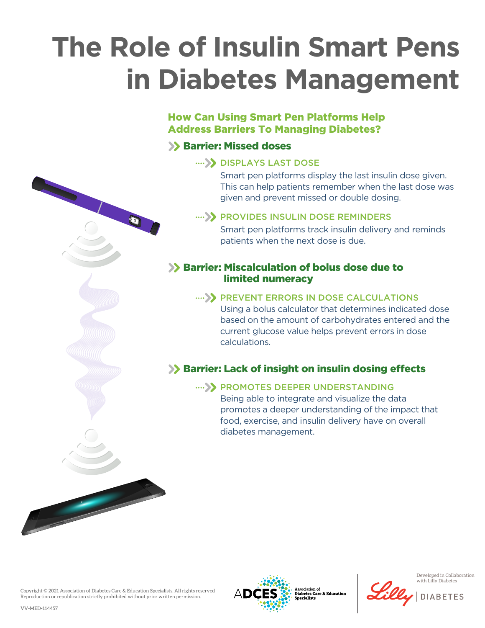# **The Role of Insulin Smart Pens in Diabetes Management**

## How Can Using Smart Pen Platforms Help Address Barriers To Managing Diabetes?

# **SX Barrier: Missed doses**

#### .... >>>>>> DISPLAYS LAST DOSE

Smart pen platforms display the last insulin dose given. This can help patients remember when the last dose was given and prevent missed or double dosing.

#### .... >> PROVIDES INSULIN DOSE REMINDERS

Smart pen platforms track insulin delivery and reminds patients when the next dose is due.

#### **>> Barrier: Miscalculation of bolus dose due to** limited numeracy

#### .... >> PREVENT ERRORS IN DOSE CALCULATIONS

Using a bolus calculator that determines indicated dose based on the amount of carbohydrates entered and the current glucose value helps prevent errors in dose calculations.

## $\gg$  Barrier: Lack of insight on insulin dosing effects

#### .... >> PROMOTES DEEPER UNDERSTANDING

Being able to integrate and visualize the data promotes a deeper understanding of the impact that food, exercise, and insulin delivery have on overall diabetes management.

Copyright © 2021 Association of Diabetes Care & Education Specialists. All rights reserved Reproduction or republication strictly prohibited without prior written permission.



ssociation of **Diabetes Care & Education** 



Developed in Collaboration with Lilly Diabetes

**DIABETES**